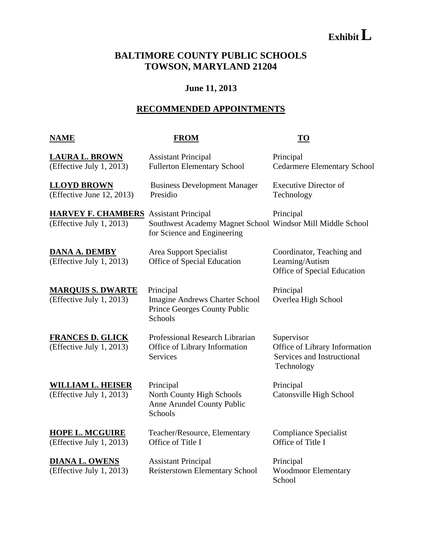# **ExhibitL**

# **BALTIMORE COUNTY PUBLIC SCHOOLS TOWSON, MARYLAND 21204**

### **June 11, 2013**

## **RECOMMENDED APPOINTMENTS**

### **NAME FROM TO**

| <b>LAURA L. BROWN</b><br>(Effective July 1, 2013)                         | <b>Assistant Principal</b><br><b>Fullerton Elementary School</b>                              | Principal<br><b>Cedarmere Elementary School</b>                                         |
|---------------------------------------------------------------------------|-----------------------------------------------------------------------------------------------|-----------------------------------------------------------------------------------------|
| <b>LLOYD BROWN</b><br>(Effective June 12, 2013)                           | <b>Business Development Manager</b><br>Presidio                                               | <b>Executive Director of</b><br>Technology                                              |
| <b>HARVEY F. CHAMBERS</b> Assistant Principal<br>(Effective July 1, 2013) | Southwest Academy Magnet School Windsor Mill Middle School<br>for Science and Engineering     | Principal                                                                               |
| <b>DANA A. DEMBY</b><br>(Effective July 1, 2013)                          | Area Support Specialist<br>Office of Special Education                                        | Coordinator, Teaching and<br>Learning/Autism<br>Office of Special Education             |
| <b>MARQUIS S. DWARTE</b><br>(Effective July 1, 2013)                      | Principal<br><b>Imagine Andrews Charter School</b><br>Prince Georges County Public<br>Schools | Principal<br>Overlea High School                                                        |
| <b>FRANCES D. GLICK</b><br>(Effective July 1, 2013)                       | Professional Research Librarian<br>Office of Library Information<br><b>Services</b>           | Supervisor<br>Office of Library Information<br>Services and Instructional<br>Technology |
| <b>WILLIAM L. HEISER</b><br>(Effective July 1, 2013)                      | Principal<br>North County High Schools<br>Anne Arundel County Public<br>Schools               | Principal<br>Catonsville High School                                                    |
| <b>HOPE L. MCGUIRE</b><br>(Effective July 1, 2013)                        | Teacher/Resource, Elementary<br>Office of Title I                                             | <b>Compliance Specialist</b><br>Office of Title I                                       |
| <b>DIANA L. OWENS</b><br>(Effective July 1, 2013)                         | <b>Assistant Principal</b><br>Reisterstown Elementary School                                  | Principal<br><b>Woodmoor Elementary</b><br>School                                       |